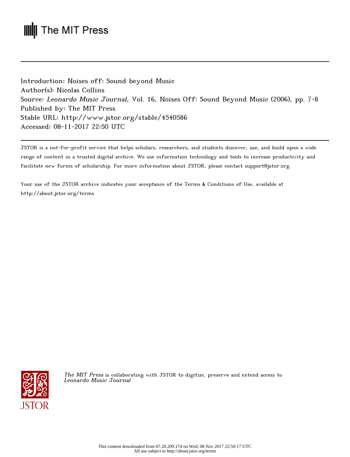## **III** The MIT Press

Introduction: Noises off: Sound beyond Music Author(s): Nicolas Collins Source: Leonardo Music Journal, Vol. 16, Noises Off: Sound Beyond Music (2006), pp. 7-8 Published by: The MIT Press Stable URL: http://www.jstor.org/stable/4540586 Accessed: 08-11-2017 22:50 UTC

JSTOR is a not-for-profit service that helps scholars, researchers, and students discover, use, and build upon a wide range of content in a trusted digital archive. We use information technology and tools to increase productivity and facilitate new forms of scholarship. For more information about JSTOR, please contact support@jstor.org.

Your use of the JSTOR archive indicates your acceptance of the Terms & Conditions of Use, available at http://about.jstor.org/terms



The MIT Press is collaborating with JSTOR to digitize, preserve and extend access to Leonardo Music Journal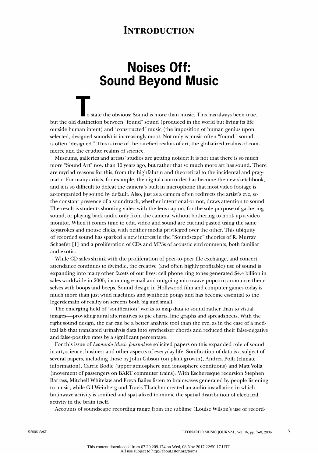## **INTRODUCTION**

## Noises Off: Sound Beyond Music

o state the obvious: Sound is more than music. This has always been true, but the old distinction between "found" sound (produced in the world but living its life outside human intent) and "constructed" music (the imposition of human genius upon selected, designed sounds) is increasingly moot. Not only is music often "found," sound is often "designed." This is true of the rarefied realms of art, the globalized realms of com merce and the erudite realms of science.

 Museums, galleries and artists' studios are getting noisier: It is not that there is so much more "Sound Art" now than 10 years ago, but rather that so much more art has sound. There are myriad reasons for this, from the highfalutin and theoretical to the incidental and prag matic. For many artists, for example, the digital camcorder has become the new sketchbook, and it is so difficult to defeat the camera's built-in microphone that most video footage is accompanied by sound by default. Also, just as a camera often redirects the artist's eye, so the constant presence of a soundtrack, whether intentional or not, draws attention to sound. The result is students shooting video with the lens cap on, for the sole purpose of gathering sound, or playing back audio only from the camera, without bothering to hook up a video monitor. When it comes time to edit, video and sound are cut and pasted using the same keystrokes and mouse clicks, with neither media privileged over the other. This ubiquity of recorded sound has sparked a new interest in the "Soundscape" theories of R. Murray Schaefer [1] and a proliferation of CDs and MP3s of acoustic environments, both familiar and exotic.

 While CD sales shrink with the proliferation of peer-to-peer file exchange, and concert attendance continues to dwindle, the creative (and often highly profitable) use of sound is expanding into many other facets of our lives: cell phone ring tones generated \$4.4 billion in sales worldwide in 2005; incoming e-mail and outgoing microwave popcorn announce them selves with boops and beeps. Sound design in Hollywood film and computer games today is much more than just wind machines and synthetic pongs and has become essential to the legerdemain of reality on screens both big and small.

 The emerging field of "sonification" works to map data to sound rather than to visual images-providing aural alternatives to pie charts, line graphs and spreadsheets. With the right sound design, the ear can be a better analytic tool than the eye, as in the case of a med ical lab that translated urinalysis data into synthesizer chords and reduced their false-negative and false-positive rates by a significant percentage.

For this issue of Leonardo Music Journal we solicited papers on this expanded role of sound in art, science, business and other aspects of everyday life. Sonification of data is a subject of several papers, including those byJohn Gibson (on plant growth), Andrea Polli (climate information), Carrie Bodle (upper atmosphere and ionosphere conditions) and Matt Volla (movement of passengers on BART commuter trains). With Escheresque recursion Stephen Barrass, Mitchell Whitelaw and Freya Bailes listen to brainwaves generated by people listening to music, while Gil Weinberg and Travis Thatcher created an audio installation in which brainwave activity is sonified and spatialized to mimic the spatial distribution of electrical activity in the brain itself.

Accounts of soundscape recording range from the sublime (Louise Wilson's use of record-